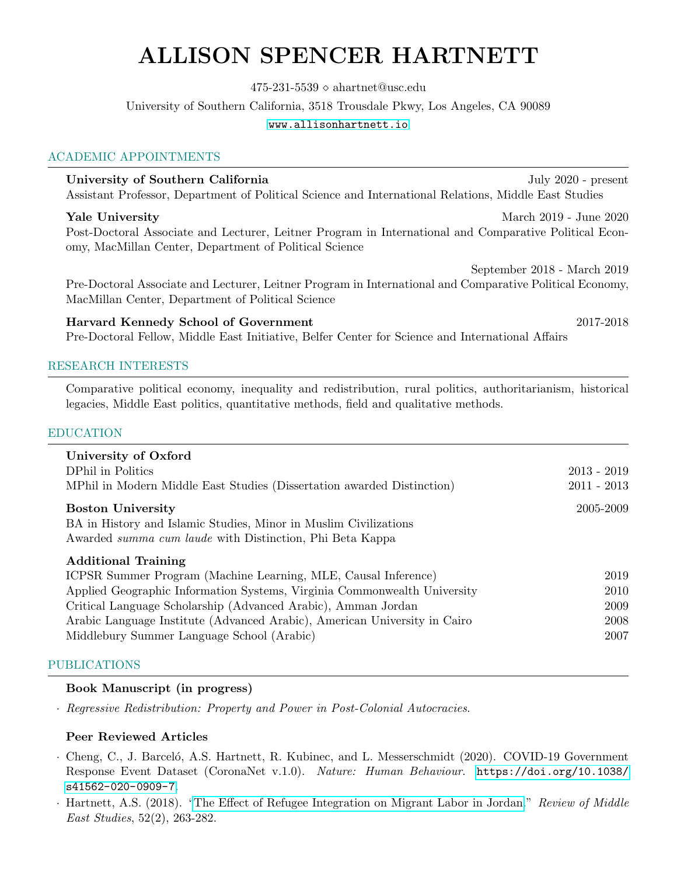# ALLISON SPENCER HARTNETT

 $475-231-5539 \diamond$  ahartnet@usc.edu

University of Southern California, 3518 Trousdale Pkwy, Los Angeles, CA 90089

#### <www.allisonhartnett.io>

#### ACADEMIC APPOINTMENTS

University of Southern California Theorem 1986 Supersity of Southern California July 2020 - present Assistant Professor, Department of Political Science and International Relations, Middle East Studies

## **Yale University** March 2019 - June 2020

Post-Doctoral Associate and Lecturer, Leitner Program in International and Comparative Political Economy, MacMillan Center, Department of Political Science

September 2018 - March 2019 Pre-Doctoral Associate and Lecturer, Leitner Program in International and Comparative Political Economy, MacMillan Center, Department of Political Science

## Harvard Kennedy School of Government 2017-2018

Pre-Doctoral Fellow, Middle East Initiative, Belfer Center for Science and International Affairs

# RESEARCH INTERESTS

Comparative political economy, inequality and redistribution, rural politics, authoritarianism, historical legacies, Middle East politics, quantitative methods, field and qualitative methods.

#### EDUCATION

| University of Oxford<br>DPhil in Politics<br>MPhil in Modern Middle East Studies (Dissertation awarded Distinction)                                             | $2013 - 2019$<br>$2011 - 2013$ |
|-----------------------------------------------------------------------------------------------------------------------------------------------------------------|--------------------------------|
| <b>Boston University</b><br>BA in History and Islamic Studies, Minor in Muslim Civilizations<br>Awarded <i>summa cum laude</i> with Distinction, Phi Beta Kappa | 2005-2009                      |
| <b>Additional Training</b>                                                                                                                                      |                                |
| ICPSR Summer Program (Machine Learning, MLE, Causal Inference)                                                                                                  | 2019                           |
| Applied Geographic Information Systems, Virginia Commonwealth University                                                                                        | 2010                           |
| Critical Language Scholarship (Advanced Arabic), Amman Jordan                                                                                                   | 2009                           |
| Arabic Language Institute (Advanced Arabic), American University in Cairo                                                                                       | 2008                           |
| Middlebury Summer Language School (Arabic)                                                                                                                      | 2007                           |

## PUBLICATIONS

## Book Manuscript (in progress)

· Regressive Redistribution: Property and Power in Post-Colonial Autocracies.

## Peer Reviewed Articles

- · Cheng, C., J. Barcel´o, A.S. Hartnett, R. Kubinec, and L. Messerschmidt (2020). COVID-19 Government Response Event Dataset (CoronaNet v.1.0). Nature: Human Behaviour. [https://doi.org/10.1038/](https://doi.org/10.1038/s41562-020-0909-7) [s41562-020-0909-7](https://doi.org/10.1038/s41562-020-0909-7).
- · Hartnett, A.S. (2018). ["The Effect of Refugee Integration on Migrant Labor in Jordan.](https://www.cambridge.org/core/journals/review-of-middle-east-studies/article/effect-of-refugee-integration-on-migrant-labor-in-jordan/95541D86AA4B631E4F6DD5B4DB021B54/share/609691b425c4ee242e3f2ce060e5f21b1d5b430f)" Review of Middle East Studies, 52(2), 263-282.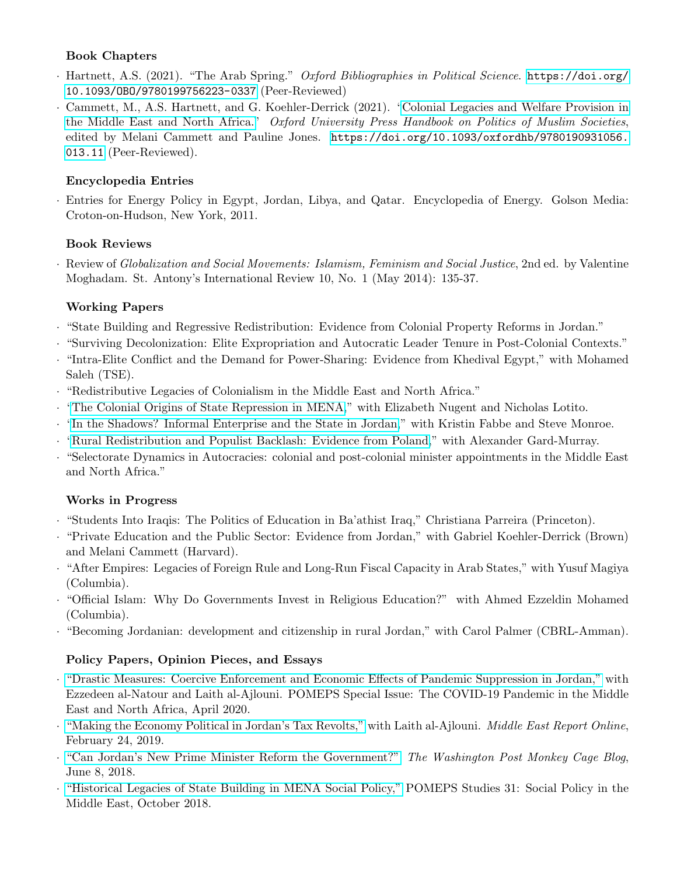# Book Chapters

- · Hartnett, A.S. (2021). "The Arab Spring." Oxford Bibliographies in Political Science. [https://doi.org/](https://doi.org/10.1093/OBO/9780199756223-0337) [10.1093/OBO/9780199756223-0337](https://doi.org/10.1093/OBO/9780199756223-0337) (Peer-Reviewed)
- · Cammett, M., A.S. Hartnett, and G. Koehler-Derrick (2021). ["Colonial Legacies and Welfare Provision in](https://www.oxfordhandbooks.com/view/10.1093/oxfordhb/9780190931056.001.0001/oxfordhb-9780190931056-e-11) [the Middle East and North Africa."](https://www.oxfordhandbooks.com/view/10.1093/oxfordhb/9780190931056.001.0001/oxfordhb-9780190931056-e-11) Oxford University Press Handbook on Politics of Muslim Societies, edited by Melani Cammett and Pauline Jones. [https://doi.org/10.1093/oxfordhb/9780190931056.](https://doi.org/10.1093/oxfordhb/9780190931056.013.11) [013.11](https://doi.org/10.1093/oxfordhb/9780190931056.013.11) (Peer-Reviewed).

# Encyclopedia Entries

· Entries for Energy Policy in Egypt, Jordan, Libya, and Qatar. Encyclopedia of Energy. Golson Media: Croton-on-Hudson, New York, 2011.

# Book Reviews

· Review of Globalization and Social Movements: Islamism, Feminism and Social Justice, 2nd ed. by Valentine Moghadam. St. Antony's International Review 10, No. 1 (May 2014): 135-37.

# Working Papers

- · "State Building and Regressive Redistribution: Evidence from Colonial Property Reforms in Jordan."
- · "Surviving Decolonization: Elite Expropriation and Autocratic Leader Tenure in Post-Colonial Contexts."
- · "Intra-Elite Conflict and the Demand for Power-Sharing: Evidence from Khedival Egypt," with Mohamed Saleh (TSE).
- · "Redistributive Legacies of Colonialism in the Middle East and North Africa."
- · ["The Colonial Origins of State Repression in MENA,](https://ssrn.com/abstract=3239093)" with Elizabeth Nugent and Nicholas Lotito.
- · ["In the Shadows? Informal Enterprise and the State in Jordan,](https://www.hbs.edu/faculty/Pages/item.aspx?num=55770)" with Kristin Fabbe and Steve Monroe.
- · ["Rural Redistribution and Populist Backlash: Evidence from Poland,](https://ssrn.com/abstract=3325608)" with Alexander Gard-Murray.
- · "Selectorate Dynamics in Autocracies: colonial and post-colonial minister appointments in the Middle East and North Africa."

## Works in Progress

- · "Students Into Iraqis: The Politics of Education in Ba'athist Iraq," Christiana Parreira (Princeton).
- · "Private Education and the Public Sector: Evidence from Jordan," with Gabriel Koehler-Derrick (Brown) and Melani Cammett (Harvard).
- · "After Empires: Legacies of Foreign Rule and Long-Run Fiscal Capacity in Arab States," with Yusuf Magiya (Columbia).
- · "Official Islam: Why Do Governments Invest in Religious Education?" with Ahmed Ezzeldin Mohamed (Columbia).
- · "Becoming Jordanian: development and citizenship in rural Jordan," with Carol Palmer (CBRL-Amman).

# Policy Papers, Opinion Pieces, and Essays

- · ["Drastic Measures: Coercive Enforcement and Economic Effects of Pandemic Suppression in Jordan,"](https://pomeps.org/drastic-measures-coercive-enforcement-and-economic-effects-of-pandemic-suppression-in-jordan) with Ezzedeen al-Natour and Laith al-Ajlouni. POMEPS Special Issue: The COVID-19 Pandemic in the Middle East and North Africa, April 2020.
- · ["Making the Economy Political in Jordan's Tax Revolts,"](https://merip.org/2019/02/making-the-economy-political-in-jordans-tax-revolts/) with Laith al-Ajlouni. Middle East Report Online, February 24, 2019.
- · ["Can Jordan's New Prime Minister Reform the Government?"](https://www.washingtonpost.com/news/monkey-cage/wp/2018/06/13/can-jordans-new-prime-minister-reform-the-government/) The Washington Post Monkey Cage Blog, June 8, 2018.
- · ["Historical Legacies of State Building in MENA Social Policy,"](https://pomeps.org/2018/08/01/colonial-legacies-of-uneven-state-development-in-mena/) POMEPS Studies 31: Social Policy in the Middle East, October 2018.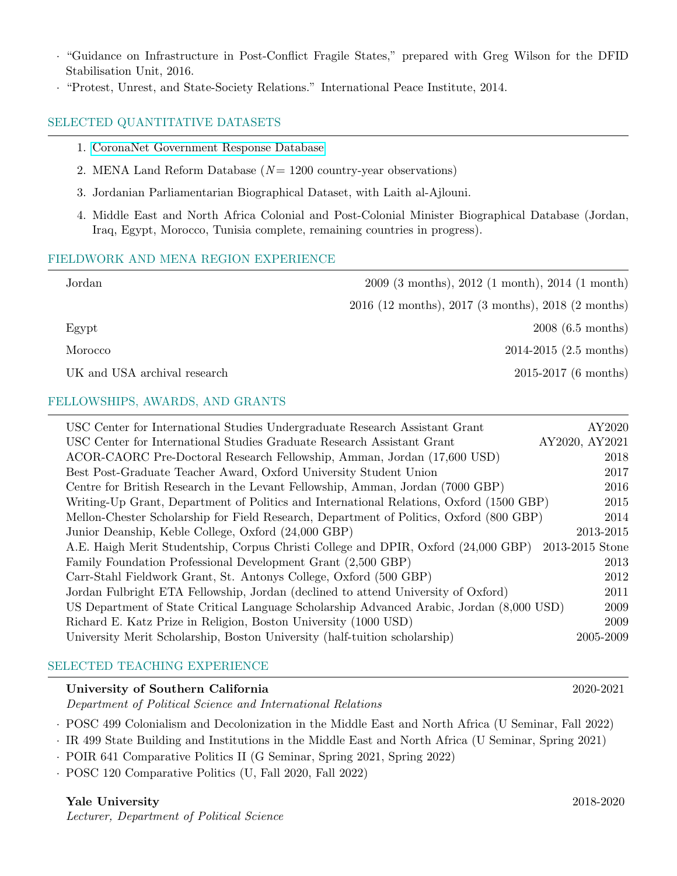- · "Guidance on Infrastructure in Post-Conflict Fragile States," prepared with Greg Wilson for the DFID Stabilisation Unit, 2016.
- · "Protest, Unrest, and State-Society Relations." International Peace Institute, 2014.

## SELECTED QUANTITATIVE DATASETS

- 1. [CoronaNet Government Response Database](https://coronanet-project.org/)
- 2. MENA Land Reform Database  $(N = 1200$  country-year observations)
- 3. Jordanian Parliamentarian Biographical Dataset, with Laith al-Ajlouni.
- 4. Middle East and North Africa Colonial and Post-Colonial Minister Biographical Database (Jordan, Iraq, Egypt, Morocco, Tunisia complete, remaining countries in progress).

## FIELDWORK AND MENA REGION EXPERIENCE

| Jordan                       | 2009 (3 months), 2012 (1 month), 2014 (1 month)    |
|------------------------------|----------------------------------------------------|
|                              | 2016 (12 months), 2017 (3 months), 2018 (2 months) |
| Egypt                        | $2008(6.5 \text{ months})$                         |
| Morocco                      | $2014 - 2015$ $(2.5 \text{ months})$               |
| UK and USA archival research | $2015-2017$ (6 months)                             |
|                              |                                                    |

## FELLOWSHIPS, AWARDS, AND GRANTS

| USC Center for International Studies Undergraduate Research Assistant Grant              | AY2020          |
|------------------------------------------------------------------------------------------|-----------------|
| USC Center for International Studies Graduate Research Assistant Grant                   | AY2020, AY2021  |
| ACOR-CAORC Pre-Doctoral Research Fellowship, Amman, Jordan (17,600 USD)                  | 2018            |
| Best Post-Graduate Teacher Award, Oxford University Student Union                        | 2017            |
| Centre for British Research in the Levant Fellowship, Amman, Jordan (7000 GBP)           | 2016            |
| Writing-Up Grant, Department of Politics and International Relations, Oxford (1500 GBP)  | 2015            |
| Mellon-Chester Scholarship for Field Research, Department of Politics, Oxford (800 GBP)  | 2014            |
| Junior Deanship, Keble College, Oxford (24,000 GBP)                                      | 2013-2015       |
| A.E. Haigh Merit Studentship, Corpus Christi College and DPIR, Oxford (24,000 GBP)       | 2013-2015 Stone |
| Family Foundation Professional Development Grant (2,500 GBP)                             | 2013            |
| Carr-Stahl Fieldwork Grant, St. Antonys College, Oxford (500 GBP)                        | 2012            |
| Jordan Fulbright ETA Fellowship, Jordan (declined to attend University of Oxford)        | 2011            |
| US Department of State Critical Language Scholarship Advanced Arabic, Jordan (8,000 USD) | 2009            |
| Richard E. Katz Prize in Religion, Boston University (1000 USD)                          | 2009            |
| University Merit Scholarship, Boston University (half-tuition scholarship)               | 2005-2009       |

## SELECTED TEACHING EXPERIENCE

| University of Southern California                           | 2020-2021 |
|-------------------------------------------------------------|-----------|
| Department of Political Science and International Relations |           |

· POSC 499 Colonialism and Decolonization in the Middle East and North Africa (U Seminar, Fall 2022)

- · IR 499 State Building and Institutions in the Middle East and North Africa (U Seminar, Spring 2021)
- · POIR 641 Comparative Politics II (G Seminar, Spring 2021, Spring 2022)
- · POSC 120 Comparative Politics (U, Fall 2020, Fall 2022)

## Yale University 2018-2020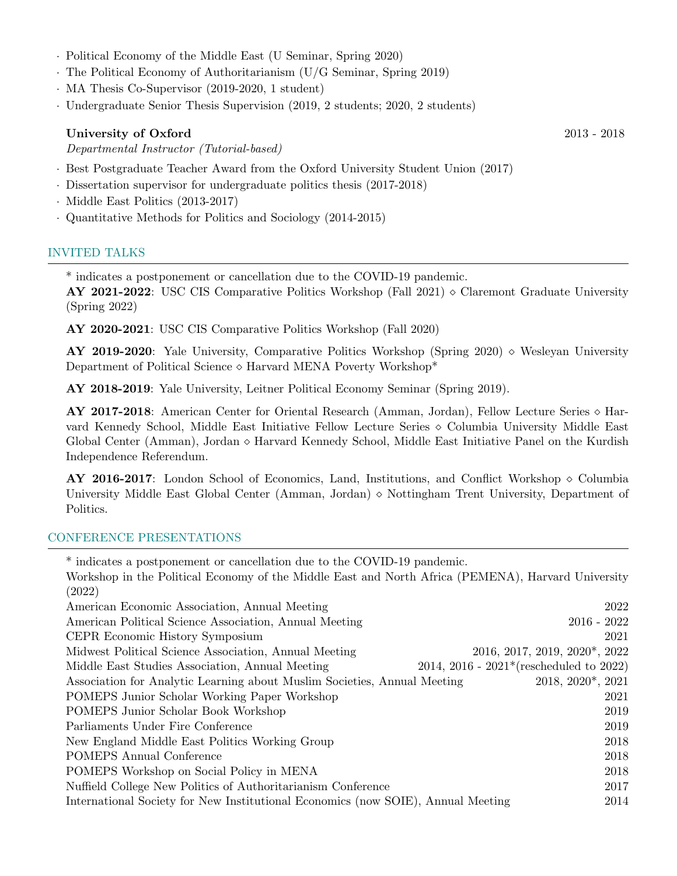- · Political Economy of the Middle East (U Seminar, Spring 2020)
- · The Political Economy of Authoritarianism (U/G Seminar, Spring 2019)
- · MA Thesis Co-Supervisor (2019-2020, 1 student)
- · Undergraduate Senior Thesis Supervision (2019, 2 students; 2020, 2 students)

## University of Oxford 2013 - 2018

Departmental Instructor (Tutorial-based)

- · Best Postgraduate Teacher Award from the Oxford University Student Union (2017)
- · Dissertation supervisor for undergraduate politics thesis (2017-2018)
- · Middle East Politics (2013-2017)
- · Quantitative Methods for Politics and Sociology (2014-2015)

## INVITED TALKS

\* indicates a postponement or cancellation due to the COVID-19 pandemic.

AY 2021-2022: USC CIS Comparative Politics Workshop (Fall 2021)  $\diamond$  Claremont Graduate University (Spring 2022)

AY 2020-2021: USC CIS Comparative Politics Workshop (Fall 2020)

**AY 2019-2020**: Yale University, Comparative Politics Workshop (Spring 2020)  $\diamond$  Wesleyan University Department of Political Science  $\diamond$  Harvard MENA Poverty Workshop\*

AY 2018-2019: Yale University, Leitner Political Economy Seminar (Spring 2019).

 $AY$  2017-2018: American Center for Oriental Research (Amman, Jordan), Fellow Lecture Series  $\diamond$  Harvard Kennedy School, Middle East Initiative Fellow Lecture Series Columbia University Middle East Global Center (Amman), Jordan  $\diamond$  Harvard Kennedy School, Middle East Initiative Panel on the Kurdish Independence Referendum.

AY 2016-2017: London School of Economics, Land, Institutions, and Conflict Workshop  $\diamond$  Columbia University Middle East Global Center (Amman, Jordan)  $\diamond$  Nottingham Trent University, Department of Politics.

## CONFERENCE PRESENTATIONS

\* indicates a postponement or cancellation due to the COVID-19 pandemic. Workshop in the Political Economy of the Middle East and North Africa (PEMENA), Harvard University (2022) American Economic Association, Annual Meeting 2022 American Political Science Association, Annual Meeting 2016 - 2022 CEPR Economic History Symposium 2021 Midwest Political Science Association, Annual Meeting 2016, 2017, 2019, 2020\*, 2022 Middle East Studies Association, Annual Meeting 2014, 2016 - 2021\*(rescheduled to 2022) Association for Analytic Learning about Muslim Societies, Annual Meeting 2018, 2020\*, 2021 POMEPS Junior Scholar Working Paper Workshop 2021 POMEPS Junior Scholar Book Workshop 2019 Parliaments Under Fire Conference 2019 New England Middle East Politics Working Group 2018 POMEPS Annual Conference 2018 POMEPS Workshop on Social Policy in MENA 2018 Nuffield College New Politics of Authoritarianism Conference 2017 International Society for New Institutional Economics (now SOIE), Annual Meeting 2014